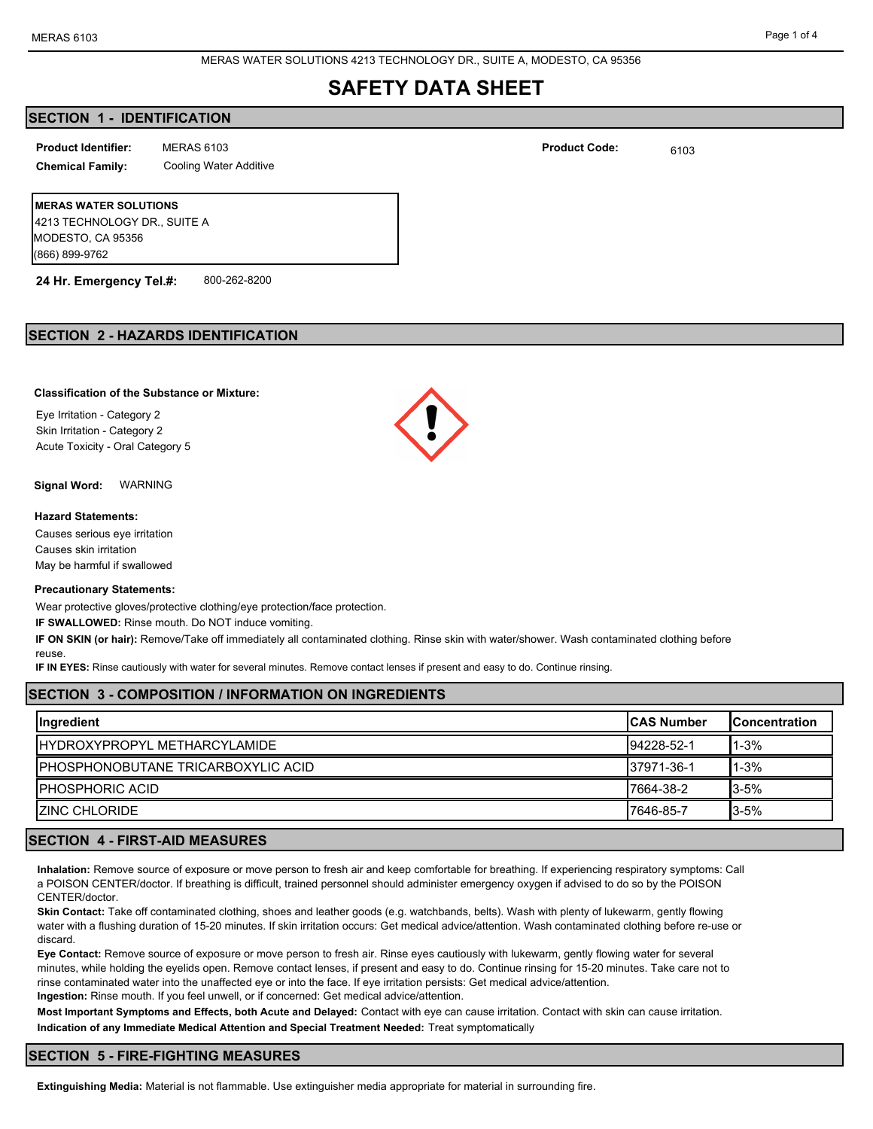MERAS WATER SOLUTIONS 4213 TECHNOLOGY DR., SUITE A, MODESTO, CA 95356

# **SAFETY DATA SHEET**

# **SECTION 1 - IDENTIFICATION**

**Product Identifier: Product Code:**

**Chemical Family:** Cooling Water Additive

**MERAS WATER SOLUTIONS** 4213 TECHNOLOGY DR., SUITE A MODESTO, CA 95356 (866) 899-9762

**24 Hr. Emergency Tel.#:** 800-262-8200

## **SECTION 2 - HAZARDS IDENTIFICATION**

#### **Classification of the Substance or Mixture:**

Eye Irritation - Category 2 Skin Irritation - Category 2 Acute Toxicity - Oral Category 5

**Signal Word:** WARNING

#### **Hazard Statements:**

Causes serious eye irritation Causes skin irritation May be harmful if swallowed

#### **Precautionary Statements:**

Wear protective gloves/protective clothing/eye protection/face protection.

**IF SWALLOWED:** Rinse mouth. Do NOT induce vomiting.

**IF ON SKIN (or hair):** Remove/Take off immediately all contaminated clothing. Rinse skin with water/shower. Wash contaminated clothing before reuse.

**IF IN EYES:** Rinse cautiously with water for several minutes. Remove contact lenses if present and easy to do. Continue rinsing.

# **SECTION 3 - COMPOSITION / INFORMATION ON INGREDIENTS**

| <b>Ingredient</b>                    | <b>ICAS Number</b> | <b>IConcentration</b> |
|--------------------------------------|--------------------|-----------------------|
| <b>IHYDROXYPROPYL METHARCYLAMIDE</b> | 194228-52-1        | '1-3%                 |
| IPHOSPHONOBUTANE TRICARBOXYLIC ACID  | 37971-36-1         | $1 - 3%$              |
| <b>IPHOSPHORIC ACID</b>              | 7664-38-2          | $13 - 5%$             |
| <b>IZINC CHLORIDE</b>                | 7646-85-7          | $3 - 5%$              |

# **SECTION 4 - FIRST-AID MEASURES**

**Inhalation:** Remove source of exposure or move person to fresh air and keep comfortable for breathing. If experiencing respiratory symptoms: Call a POISON CENTER/doctor. If breathing is difficult, trained personnel should administer emergency oxygen if advised to do so by the POISON CENTER/doctor.

**Skin Contact:** Take off contaminated clothing, shoes and leather goods (e.g. watchbands, belts). Wash with plenty of lukewarm, gently flowing water with a flushing duration of 15-20 minutes. If skin irritation occurs: Get medical advice/attention. Wash contaminated clothing before re-use or discard.

**Eye Contact:** Remove source of exposure or move person to fresh air. Rinse eyes cautiously with lukewarm, gently flowing water for several minutes, while holding the eyelids open. Remove contact lenses, if present and easy to do. Continue rinsing for 15-20 minutes. Take care not to rinse contaminated water into the unaffected eye or into the face. If eye irritation persists: Get medical advice/attention.

**Ingestion:** Rinse mouth. If you feel unwell, or if concerned: Get medical advice/attention.

**Most Important Symptoms and Effects, both Acute and Delayed:** Contact with eye can cause irritation. Contact with skin can cause irritation. **Indication of any Immediate Medical Attention and Special Treatment Needed:** Treat symptomatically

### **SECTION 5 - FIRE-FIGHTING MEASURES**





MERAS 6103  $\blacksquare$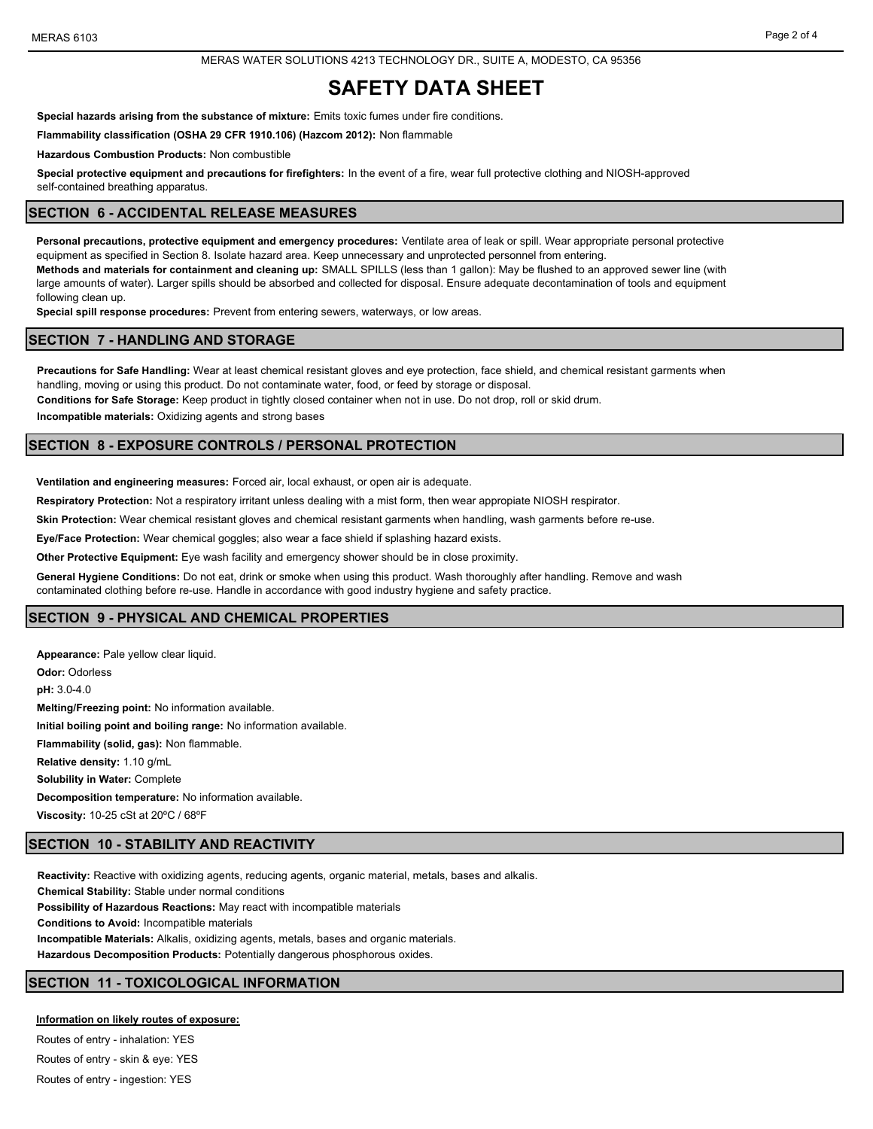MERAS WATER SOLUTIONS 4213 TECHNOLOGY DR., SUITE A, MODESTO, CA 95356

# **SAFETY DATA SHEET**

**Special hazards arising from the substance of mixture:** Emits toxic fumes under fire conditions.

**Flammability classification (OSHA 29 CFR 1910.106) (Hazcom 2012):** Non flammable

**Hazardous Combustion Products:** Non combustible

**Special protective equipment and precautions for firefighters:** In the event of a fire, wear full protective clothing and NIOSH-approved self-contained breathing apparatus.

### **SECTION 6 - ACCIDENTAL RELEASE MEASURES**

**Personal precautions, protective equipment and emergency procedures:** Ventilate area of leak or spill. Wear appropriate personal protective equipment as specified in Section 8. Isolate hazard area. Keep unnecessary and unprotected personnel from entering. **Methods and materials for containment and cleaning up:** SMALL SPILLS (less than 1 gallon): May be flushed to an approved sewer line (with large amounts of water). Larger spills should be absorbed and collected for disposal. Ensure adequate decontamination of tools and equipment following clean up.

**Special spill response procedures:** Prevent from entering sewers, waterways, or low areas.

### **SECTION 7 - HANDLING AND STORAGE**

**Precautions for Safe Handling:** Wear at least chemical resistant gloves and eye protection, face shield, and chemical resistant garments when handling, moving or using this product. Do not contaminate water, food, or feed by storage or disposal. **Conditions for Safe Storage:** Keep product in tightly closed container when not in use. Do not drop, roll or skid drum. **Incompatible materials:** Oxidizing agents and strong bases

## **SECTION 8 - EXPOSURE CONTROLS / PERSONAL PROTECTION**

**Ventilation and engineering measures:** Forced air, local exhaust, or open air is adequate.

**Respiratory Protection:** Not a respiratory irritant unless dealing with a mist form, then wear appropiate NIOSH respirator.

**Skin Protection:** Wear chemical resistant gloves and chemical resistant garments when handling, wash garments before re-use.

**Eye/Face Protection:** Wear chemical goggles; also wear a face shield if splashing hazard exists.

**Other Protective Equipment:** Eye wash facility and emergency shower should be in close proximity.

**General Hygiene Conditions:** Do not eat, drink or smoke when using this product. Wash thoroughly after handling. Remove and wash contaminated clothing before re-use. Handle in accordance with good industry hygiene and safety practice.

## **SECTION 9 - PHYSICAL AND CHEMICAL PROPERTIES**

**Appearance:** Pale yellow clear liquid. **Odor:** Odorless **pH:** 3.0-4.0 **Melting/Freezing point:** No information available. **Initial boiling point and boiling range:** No information available. **Flammability (solid, gas):** Non flammable. **Relative density:** 1.10 g/mL **Solubility in Water:** Complete **Decomposition temperature:** No information available. **Viscosity:** 10-25 cSt at 20ºC / 68ºF

## **SECTION 10 - STABILITY AND REACTIVITY**

**Reactivity:** Reactive with oxidizing agents, reducing agents, organic material, metals, bases and alkalis. **Chemical Stability:** Stable under normal conditions **Possibility of Hazardous Reactions:** May react with incompatible materials **Conditions to Avoid:** Incompatible materials **Incompatible Materials:** Alkalis, oxidizing agents, metals, bases and organic materials. **Hazardous Decomposition Products:** Potentially dangerous phosphorous oxides.

# **SECTION 11 - TOXICOLOGICAL INFORMATION**

#### **Information on likely routes of exposure:**

Routes of entry - inhalation: YES Routes of entry - skin & eye: YES Routes of entry - ingestion: YES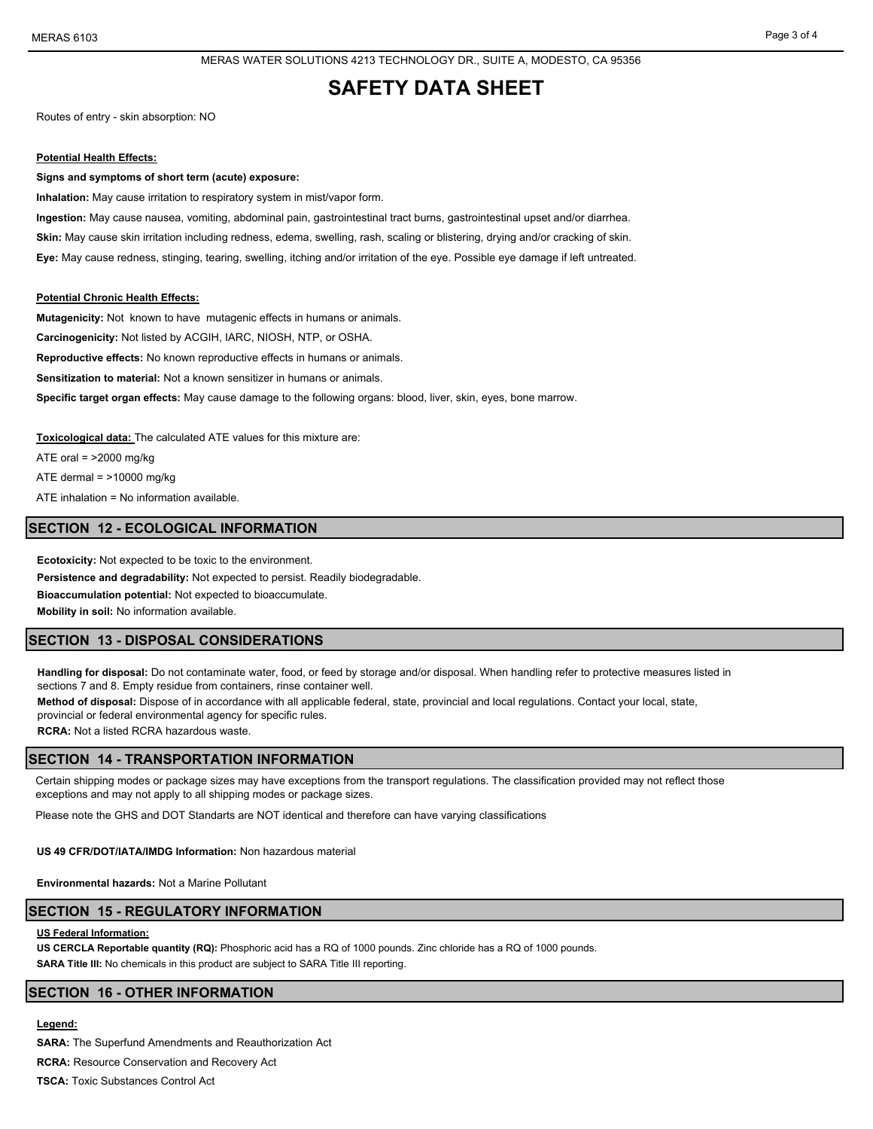#### MERAS WATER SOLUTIONS 4213 TECHNOLOGY DR., SUITE A, MODESTO, CA 95356

# **SAFETY DATA SHEET**

Routes of entry - skin absorption: NO

#### **Potential Health Effects:**

**Signs and symptoms of short term (acute) exposure:**

**Inhalation:** May cause irritation to respiratory system in mist/vapor form.

**Ingestion:** May cause nausea, vomiting, abdominal pain, gastrointestinal tract burns, gastrointestinal upset and/or diarrhea. **Skin:** May cause skin irritation including redness, edema, swelling, rash, scaling or blistering, drying and/or cracking of skin.

**Eye:** May cause redness, stinging, tearing, swelling, itching and/or irritation of the eye. Possible eye damage if left untreated.

#### **Potential Chronic Health Effects:**

**Mutagenicity:** Not known to have mutagenic effects in humans or animals. **Carcinogenicity:** Not listed by ACGIH, IARC, NIOSH, NTP, or OSHA. **Reproductive effects:** No known reproductive effects in humans or animals. **Sensitization to material:** Not a known sensitizer in humans or animals. **Specific target organ effects:** May cause damage to the following organs: blood, liver, skin, eyes, bone marrow.

**Toxicological data:** The calculated ATE values for this mixture are:

ATE oral =  $>2000$  mg/kg

ATE dermal  $=$  >10000 mg/kg

ATE inhalation = No information available.

### **SECTION 12 - ECOLOGICAL INFORMATION**

**Ecotoxicity:** Not expected to be toxic to the environment. **Persistence and degradability:** Not expected to persist. Readily biodegradable. **Bioaccumulation potential:** Not expected to bioaccumulate. **Mobility in soil:** No information available.

### **SECTION 13 - DISPOSAL CONSIDERATIONS**

**Handling for disposal:** Do not contaminate water, food, or feed by storage and/or disposal. When handling refer to protective measures listed in sections 7 and 8. Empty residue from containers, rinse container well. **Method of disposal:** Dispose of in accordance with all applicable federal, state, provincial and local regulations. Contact your local, state, provincial or federal environmental agency for specific rules. **RCRA:** Not a listed RCRA hazardous waste.

# **SECTION 14 - TRANSPORTATION INFORMATION**

Certain shipping modes or package sizes may have exceptions from the transport regulations. The classification provided may not reflect those exceptions and may not apply to all shipping modes or package sizes.

Please note the GHS and DOT Standarts are NOT identical and therefore can have varying classifications

**US 49 CFR/DOT/IATA/IMDG Information:** Non hazardous material

**Environmental hazards:** Not a Marine Pollutant

## **SECTION 15 - REGULATORY INFORMATION**

#### **US Federal Information:**

**US CERCLA Reportable quantity (RQ):** Phosphoric acid has a RQ of 1000 pounds. Zinc chloride has a RQ of 1000 pounds. **SARA Title III:** No chemicals in this product are subject to SARA Title III reporting.

## **SECTION 16 - OTHER INFORMATION**

**Legend:**

**SARA:** The Superfund Amendments and Reauthorization Act

**RCRA:** Resource Conservation and Recovery Act

**TSCA:** Toxic Substances Control Act